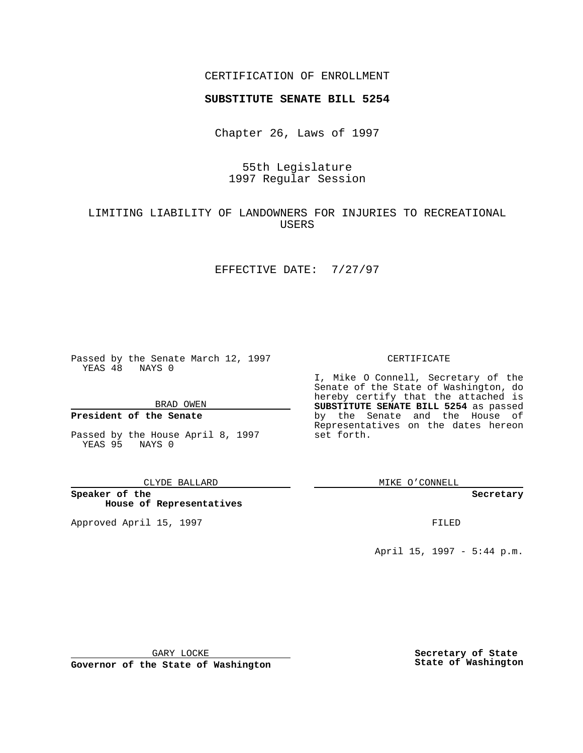### CERTIFICATION OF ENROLLMENT

# **SUBSTITUTE SENATE BILL 5254**

Chapter 26, Laws of 1997

# 55th Legislature 1997 Regular Session

# LIMITING LIABILITY OF LANDOWNERS FOR INJURIES TO RECREATIONAL USERS

### EFFECTIVE DATE: 7/27/97

Passed by the Senate March 12, 1997 YEAS 48 NAYS 0

BRAD OWEN

### **President of the Senate**

Passed by the House April 8, 1997 YEAS 95 NAYS 0

#### CLYDE BALLARD

**Speaker of the House of Representatives**

Approved April 15, 1997 **FILED** 

### CERTIFICATE

I, Mike O Connell, Secretary of the Senate of the State of Washington, do hereby certify that the attached is **SUBSTITUTE SENATE BILL 5254** as passed by the Senate and the House of Representatives on the dates hereon set forth.

MIKE O'CONNELL

#### **Secretary**

April 15, 1997 - 5:44 p.m.

GARY LOCKE

**Governor of the State of Washington**

**Secretary of State State of Washington**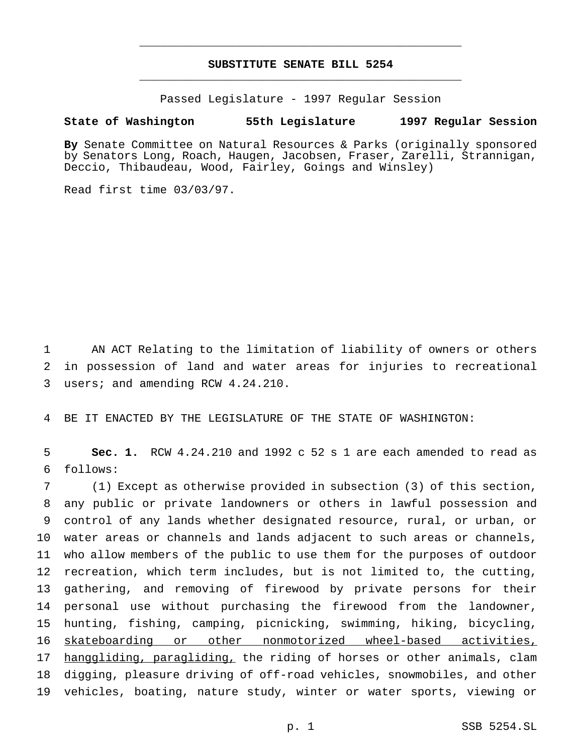# **SUBSTITUTE SENATE BILL 5254** \_\_\_\_\_\_\_\_\_\_\_\_\_\_\_\_\_\_\_\_\_\_\_\_\_\_\_\_\_\_\_\_\_\_\_\_\_\_\_\_\_\_\_\_\_\_\_

\_\_\_\_\_\_\_\_\_\_\_\_\_\_\_\_\_\_\_\_\_\_\_\_\_\_\_\_\_\_\_\_\_\_\_\_\_\_\_\_\_\_\_\_\_\_\_

Passed Legislature - 1997 Regular Session

### **State of Washington 55th Legislature 1997 Regular Session**

**By** Senate Committee on Natural Resources & Parks (originally sponsored by Senators Long, Roach, Haugen, Jacobsen, Fraser, Zarelli, Strannigan, Deccio, Thibaudeau, Wood, Fairley, Goings and Winsley)

Read first time 03/03/97.

1 AN ACT Relating to the limitation of liability of owners or others 2 in possession of land and water areas for injuries to recreational 3 users; and amending RCW 4.24.210.

4 BE IT ENACTED BY THE LEGISLATURE OF THE STATE OF WASHINGTON:

5 **Sec. 1.** RCW 4.24.210 and 1992 c 52 s 1 are each amended to read as 6 follows:

 (1) Except as otherwise provided in subsection (3) of this section, any public or private landowners or others in lawful possession and control of any lands whether designated resource, rural, or urban, or water areas or channels and lands adjacent to such areas or channels, who allow members of the public to use them for the purposes of outdoor recreation, which term includes, but is not limited to, the cutting, gathering, and removing of firewood by private persons for their personal use without purchasing the firewood from the landowner, hunting, fishing, camping, picnicking, swimming, hiking, bicycling, 16 skateboarding or other nonmotorized wheel-based activities, 17 hanggliding, paragliding, the riding of horses or other animals, clam digging, pleasure driving of off-road vehicles, snowmobiles, and other vehicles, boating, nature study, winter or water sports, viewing or